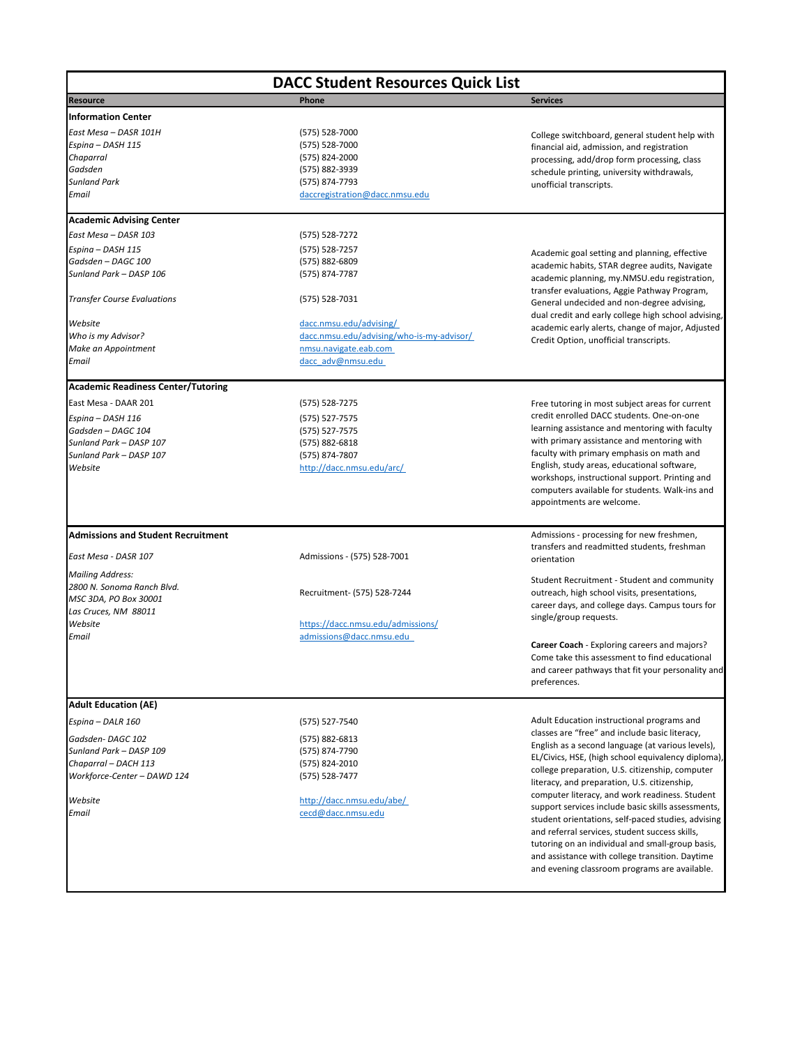*Workforce-Center – DAWD 124* (575) 528-7477

*Website* <http://dacc.nmsu.edu/abe/> *Email* [cecd@dacc.nmsu.edu](mailto:cecd@dacc.nmsu.edu)

| <b>DACC Student Resources Quick List</b>  |                                             |                                                                                              |
|-------------------------------------------|---------------------------------------------|----------------------------------------------------------------------------------------------|
| <b>Resource</b>                           | Phone                                       | <b>Services</b>                                                                              |
| <b>Information Center</b>                 |                                             |                                                                                              |
| East Mesa - DASR 101H                     | (575) 528-7000                              | College switchboard, general student help with                                               |
| Espina - DASH 115                         | (575) 528-7000                              | financial aid, admission, and registration                                                   |
| Chaparral                                 | (575) 824-2000                              | processing, add/drop form processing, class                                                  |
| Gadsden                                   | (575) 882-3939                              | schedule printing, university withdrawals,                                                   |
| <b>Sunland Park</b>                       | (575) 874-7793                              | unofficial transcripts.                                                                      |
| Email                                     | daccregistration@dacc.nmsu.edu              |                                                                                              |
| <b>Academic Advising Center</b>           |                                             |                                                                                              |
| East Mesa - DASR 103                      | (575) 528-7272                              |                                                                                              |
| Espina - DASH 115                         | (575) 528-7257                              |                                                                                              |
| Gadsden - DAGC 100                        | (575) 882-6809                              | Academic goal setting and planning, effective                                                |
| Sunland Park - DASP 106                   | (575) 874-7787                              | academic habits, STAR degree audits, Navigate                                                |
|                                           |                                             | academic planning, my.NMSU.edu registration,                                                 |
|                                           |                                             | transfer evaluations, Aggie Pathway Program,                                                 |
| <b>Transfer Course Evaluations</b>        | (575) 528-7031                              | General undecided and non-degree advising,                                                   |
|                                           |                                             | dual credit and early college high school advising,                                          |
| Website                                   | dacc.nmsu.edu/advising/                     | academic early alerts, change of major, Adjusted                                             |
| Who is my Advisor?                        | dacc.nmsu.edu/advising/who-is-my-advisor/   | Credit Option, unofficial transcripts.                                                       |
| Make an Appointment                       | nmsu.navigate.eab.com                       |                                                                                              |
| Email                                     | dacc adv@nmsu.edu                           |                                                                                              |
| <b>Academic Readiness Center/Tutoring</b> |                                             |                                                                                              |
| East Mesa - DAAR 201                      | (575) 528-7275                              | Free tutoring in most subject areas for current                                              |
| Espina - DASH 116                         | (575) 527-7575                              | credit enrolled DACC students. One-on-one                                                    |
| Gadsden - DAGC 104                        | (575) 527-7575                              | learning assistance and mentoring with faculty                                               |
| Sunland Park - DASP 107                   | (575) 882-6818                              | with primary assistance and mentoring with                                                   |
| Sunland Park - DASP 107                   |                                             | faculty with primary emphasis on math and                                                    |
| Website                                   | (575) 874-7807<br>http://dacc.nmsu.edu/arc/ | English, study areas, educational software,                                                  |
|                                           |                                             | workshops, instructional support. Printing and                                               |
|                                           |                                             | computers available for students. Walk-ins and                                               |
|                                           |                                             | appointments are welcome.                                                                    |
|                                           |                                             |                                                                                              |
| <b>Admissions and Student Recruitment</b> |                                             | Admissions - processing for new freshmen,                                                    |
| East Mesa - DASR 107                      | Admissions - (575) 528-7001                 | transfers and readmitted students, freshman                                                  |
|                                           |                                             | orientation                                                                                  |
| <b>Mailing Address:</b>                   |                                             | Student Recruitment - Student and community                                                  |
| 2800 N. Sonoma Ranch Blvd.                | Recruitment- (575) 528-7244                 | outreach, high school visits, presentations,                                                 |
| MSC 3DA, PO Box 30001                     |                                             | career days, and college days. Campus tours for                                              |
| Las Cruces, NM 88011                      |                                             | single/group requests.                                                                       |
| Website                                   | https://dacc.nmsu.edu/admissions/           |                                                                                              |
| Email                                     | admissions@dacc.nmsu.edu                    |                                                                                              |
|                                           |                                             | <b>Career Coach</b> - Exploring careers and majors?                                          |
|                                           |                                             | Come take this assessment to find educational                                                |
|                                           |                                             | and career pathways that fit your personality and<br>preferences.                            |
|                                           |                                             |                                                                                              |
| <b>Adult Education (AE)</b>               |                                             |                                                                                              |
| Espina - DALR 160                         | (575) 527-7540                              | Adult Education instructional programs and<br>classes are "free" and include basic literacy, |
| Gadsden-DAGC 102                          | $(575) 882 - 6813$                          | English as a second language (at various levels),                                            |
| Sunland Park - DASP 109                   | (575) 874-7790                              |                                                                                              |
| Chaparral - DACH 113                      | (575) 824-2010                              | EL/Civics, HSE, (high school equivalency diploma),                                           |

college preparation, U.S. citizenship, computer literacy, and preparation, U.S. citizenship, computer literacy, and work readiness. Student support services include basic skills assessments, student orientations, self-paced studies, advising and referral services, student success skills, tutoring on an individual and small-group basis, and assistance with college transition. Daytime and evening classroom programs are available.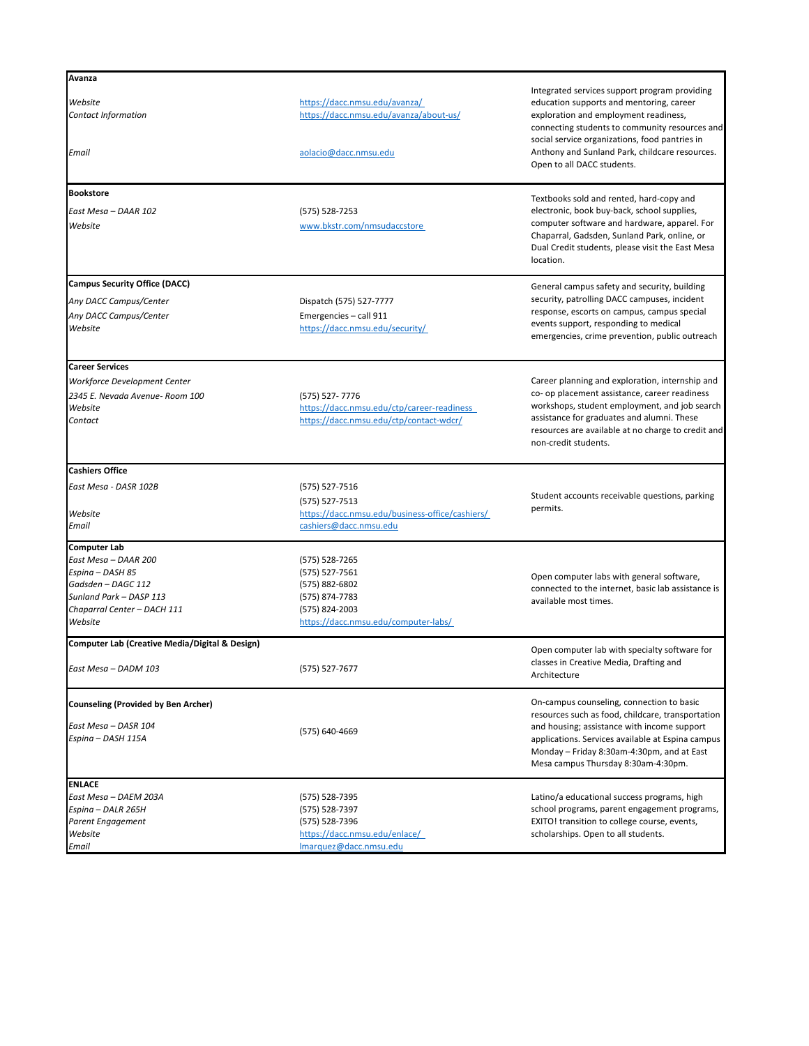## **ENLACE**

*East Mesa – DAEM 203A* (575) 528-7395 *Espina – DALR 265H* (575) 528-7397 *Parent Engagement* (575) 528-7396 *Website* <https://dacc.nmsu.edu/enlace/> *Email* [lmarquez@dacc.nmsu.edu](mailto:lmarquez@dacc.nmsu.edu)

| <b>Avanza</b>                                  |                                                                                       |                                                                                                                                                                                                                                            |
|------------------------------------------------|---------------------------------------------------------------------------------------|--------------------------------------------------------------------------------------------------------------------------------------------------------------------------------------------------------------------------------------------|
| Website<br><b>Contact Information</b>          | https://dacc.nmsu.edu/avanza/<br>https://dacc.nmsu.edu/avanza/about-us/               | Integrated services support program providing<br>education supports and mentoring, career<br>exploration and employment readiness,<br>connecting students to community resources and                                                       |
| Email                                          | aolacio@dacc.nmsu.edu                                                                 | social service organizations, food pantries in<br>Anthony and Sunland Park, childcare resources.<br>Open to all DACC students.                                                                                                             |
| <b>Bookstore</b>                               |                                                                                       | Textbooks sold and rented, hard-copy and                                                                                                                                                                                                   |
| East Mesa - DAAR 102                           | (575) 528-7253                                                                        | electronic, book buy-back, school supplies,                                                                                                                                                                                                |
| Website                                        | www.bkstr.com/nmsudaccstore                                                           | computer software and hardware, apparel. For<br>Chaparral, Gadsden, Sunland Park, online, or<br>Dual Credit students, please visit the East Mesa<br>location.                                                                              |
| <b>Campus Security Office (DACC)</b>           |                                                                                       | General campus safety and security, building                                                                                                                                                                                               |
| Any DACC Campus/Center                         | Dispatch (575) 527-7777                                                               | security, patrolling DACC campuses, incident                                                                                                                                                                                               |
| Any DACC Campus/Center<br>Website              | Emergencies - call 911<br>https://dacc.nmsu.edu/security/                             | response, escorts on campus, campus special<br>events support, responding to medical<br>emergencies, crime prevention, public outreach                                                                                                     |
| <b>Career Services</b>                         |                                                                                       |                                                                                                                                                                                                                                            |
| Workforce Development Center                   |                                                                                       | Career planning and exploration, internship and                                                                                                                                                                                            |
| 2345 E. Nevada Avenue- Room 100                | (575) 527-7776                                                                        | co- op placement assistance, career readiness                                                                                                                                                                                              |
| Website<br>Contact                             | https://dacc.nmsu.edu/ctp/career-readiness<br>https://dacc.nmsu.edu/ctp/contact-wdcr/ | workshops, student employment, and job search<br>assistance for graduates and alumni. These<br>resources are available at no charge to credit and<br>non-credit students.                                                                  |
| <b>Cashiers Office</b>                         |                                                                                       |                                                                                                                                                                                                                                            |
| East Mesa - DASR 102B                          | (575) 527-7516                                                                        |                                                                                                                                                                                                                                            |
|                                                | $(575) 527 - 7513$                                                                    | Student accounts receivable questions, parking                                                                                                                                                                                             |
| Website                                        | https://dacc.nmsu.edu/business-office/cashiers/                                       | permits.                                                                                                                                                                                                                                   |
| Email                                          | cashiers@dacc.nmsu.edu                                                                |                                                                                                                                                                                                                                            |
| <b>Computer Lab</b>                            |                                                                                       |                                                                                                                                                                                                                                            |
| East Mesa - DAAR 200                           | (575) 528-7265                                                                        |                                                                                                                                                                                                                                            |
| Espina - DASH 85<br>Gadsden - DAGC 112         | $(575) 527 - 7561$<br>(575) 882-6802                                                  | Open computer labs with general software,                                                                                                                                                                                                  |
| Sunland Park - DASP 113                        | (575) 874-7783                                                                        | connected to the internet, basic lab assistance is                                                                                                                                                                                         |
| Chaparral Center - DACH 111                    | (575) 824-2003                                                                        | available most times.                                                                                                                                                                                                                      |
| Website                                        | https://dacc.nmsu.edu/computer-labs/                                                  |                                                                                                                                                                                                                                            |
| Computer Lab (Creative Media/Digital & Design) |                                                                                       |                                                                                                                                                                                                                                            |
| East Mesa - DADM 103                           | (575) 527-7677                                                                        | Open computer lab with specialty software for<br>classes in Creative Media, Drafting and<br>Architecture                                                                                                                                   |
| Counseling (Provided by Ben Archer)            |                                                                                       | On-campus counseling, connection to basic                                                                                                                                                                                                  |
| East Mesa - DASR 104<br>Espina - DASH 115A     | (575) 640-4669                                                                        | resources such as food, childcare, transportation<br>and housing; assistance with income support<br>applications. Services available at Espina campus<br>Monday - Friday 8:30am-4:30pm, and at East<br>Mesa campus Thursday 8:30am-4:30pm. |

Latino/a educational success programs, high school programs, parent engagement programs, EXITO! transition to college course, events, scholarships. Open to all students.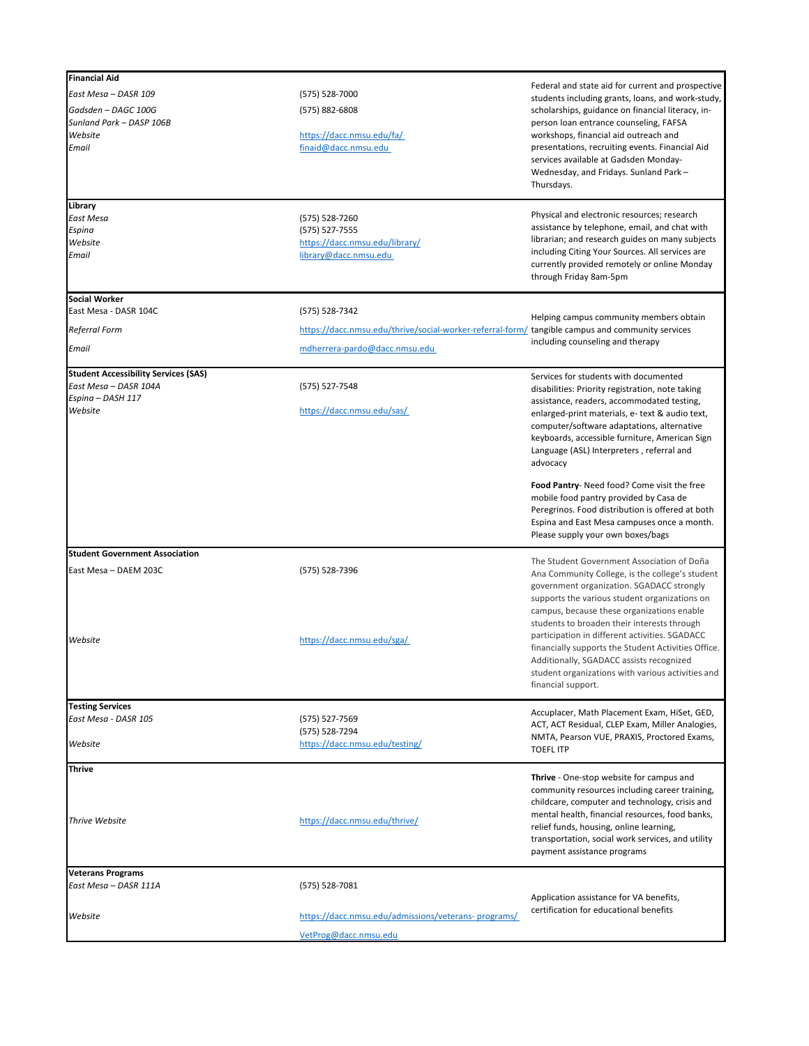**Thrive**

| <b>Financial Aid</b>                                                                                 |                                                                                                                    |                                                                                                                                                                                                                                                                                                                                                                                                                                                                                                                                                 |
|------------------------------------------------------------------------------------------------------|--------------------------------------------------------------------------------------------------------------------|-------------------------------------------------------------------------------------------------------------------------------------------------------------------------------------------------------------------------------------------------------------------------------------------------------------------------------------------------------------------------------------------------------------------------------------------------------------------------------------------------------------------------------------------------|
| East Mesa - DASR 109<br>Gadsden - DAGC 100G<br>Sunland Park - DASP 106B<br>Website<br>Email          | (575) 528-7000                                                                                                     | Federal and state aid for current and prospective<br>students including grants, loans, and work-study,                                                                                                                                                                                                                                                                                                                                                                                                                                          |
|                                                                                                      | (575) 882-6808<br>https://dacc.nmsu.edu/fa/<br>finaid@dacc.nmsu.edu                                                | scholarships, guidance on financial literacy, in-<br>person loan entrance counseling, FAFSA<br>workshops, financial aid outreach and<br>presentations, recruiting events. Financial Aid<br>services available at Gadsden Monday-<br>Wednesday, and Fridays. Sunland Park -<br>Thursdays.                                                                                                                                                                                                                                                        |
| Library<br><b>East Mesa</b><br>Espina<br>Website<br>Email                                            | (575) 528-7260<br>(575) 527-7555<br>https://dacc.nmsu.edu/library/<br>library@dacc.nmsu.edu                        | Physical and electronic resources; research<br>assistance by telephone, email, and chat with<br>librarian; and research guides on many subjects<br>including Citing Your Sources. All services are<br>currently provided remotely or online Monday<br>through Friday 8am-5pm                                                                                                                                                                                                                                                                    |
| <b>Social Worker</b>                                                                                 |                                                                                                                    |                                                                                                                                                                                                                                                                                                                                                                                                                                                                                                                                                 |
| East Mesa - DASR 104C<br><b>Referral Form</b>                                                        | (575) 528-7342<br>https://dacc.nmsu.edu/thrive/social-worker-referral-form/ tangible campus and community services | Helping campus community members obtain                                                                                                                                                                                                                                                                                                                                                                                                                                                                                                         |
| Email                                                                                                | mdherrera-pardo@dacc.nmsu.edu                                                                                      | including counseling and therapy                                                                                                                                                                                                                                                                                                                                                                                                                                                                                                                |
| <b>Student Accessibility Services (SAS)</b><br>East Mesa - DASR 104A<br>Espina - DASH 117<br>Website | (575) 527-7548<br>https://dacc.nmsu.edu/sas/                                                                       | Services for students with documented<br>disabilities: Priority registration, note taking<br>assistance, readers, accommodated testing,<br>enlarged-print materials, e- text & audio text,<br>computer/software adaptations, alternative<br>keyboards, accessible furniture, American Sign<br>Language (ASL) Interpreters, referral and<br>advocacy<br>Food Pantry- Need food? Come visit the free<br>mobile food pantry provided by Casa de<br>Peregrinos. Food distribution is offered at both<br>Espina and East Mesa campuses once a month. |
|                                                                                                      |                                                                                                                    | Please supply your own boxes/bags                                                                                                                                                                                                                                                                                                                                                                                                                                                                                                               |
| <b>Student Government Association</b><br>East Mesa - DAEM 203C                                       | (575) 528-7396                                                                                                     | The Student Government Association of Doña<br>Ana Community College, is the college's student<br>government organization. SGADACC strongly<br>supports the various student organizations on<br>campus, because these organizations enable<br>students to broaden their interests through                                                                                                                                                                                                                                                        |
| Website                                                                                              | https://dacc.nmsu.edu/sga/                                                                                         | participation in different activities. SGADACC<br>financially supports the Student Activities Office.<br>Additionally, SGADACC assists recognized<br>student organizations with various activities and<br>financial support.                                                                                                                                                                                                                                                                                                                    |
| <b>Testing Services</b>                                                                              |                                                                                                                    | Accuplacer, Math Placement Exam, HiSet, GED,                                                                                                                                                                                                                                                                                                                                                                                                                                                                                                    |
| East Mesa - DASR 105<br>Website                                                                      | (575) 527-7569<br>(575) 528-7294<br>https://dacc.nmsu.edu/testing/                                                 | ACT, ACT Residual, CLEP Exam, Miller Analogies,<br>NMTA, Pearson VUE, PRAXIS, Proctored Exams,<br><b>TOEFL ITP</b>                                                                                                                                                                                                                                                                                                                                                                                                                              |

| .<br>Thrive Website                               | https://dacc.nmsu.edu/thrive/                                                | Thrive - One-stop website for campus and<br>community resources including career training,<br>childcare, computer and technology, crisis and<br>mental health, financial resources, food banks,<br>relief funds, housing, online learning,<br>transportation, social work services, and utility<br>payment assistance programs |
|---------------------------------------------------|------------------------------------------------------------------------------|--------------------------------------------------------------------------------------------------------------------------------------------------------------------------------------------------------------------------------------------------------------------------------------------------------------------------------|
| <b>Veterans Programs</b><br>East Mesa - DASR 111A | (575) 528-7081                                                               | Application assistance for VA benefits,                                                                                                                                                                                                                                                                                        |
| Website                                           | https://dacc.nmsu.edu/admissions/veterans-programs/<br>VetProg@dacc.nmsu.edu | certification for educational benefits                                                                                                                                                                                                                                                                                         |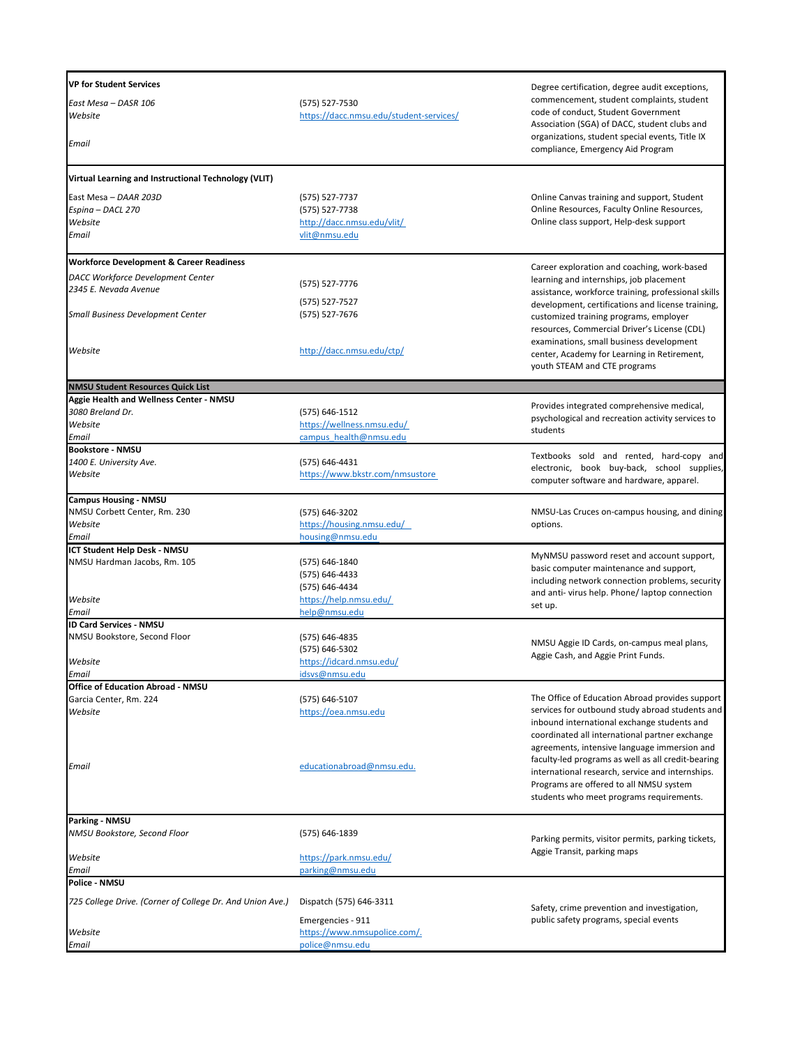|                                                           | Degree certification, degree audit exceptions,                                                                                                                                                                                                                                                                                                      |
|-----------------------------------------------------------|-----------------------------------------------------------------------------------------------------------------------------------------------------------------------------------------------------------------------------------------------------------------------------------------------------------------------------------------------------|
| (575) 527-7530<br>https://dacc.nmsu.edu/student-services/ | commencement, student complaints, student<br>code of conduct, Student Government                                                                                                                                                                                                                                                                    |
|                                                           | Association (SGA) of DACC, student clubs and<br>organizations, student special events, Title IX<br>compliance, Emergency Aid Program                                                                                                                                                                                                                |
| Virtual Learning and Instructional Technology (VLIT)      |                                                                                                                                                                                                                                                                                                                                                     |
| (575) 527-7737                                            | Online Canvas training and support, Student                                                                                                                                                                                                                                                                                                         |
| (575) 527-7738                                            | Online Resources, Faculty Online Resources,                                                                                                                                                                                                                                                                                                         |
| http://dacc.nmsu.edu/vlit/                                | Online class support, Help-desk support                                                                                                                                                                                                                                                                                                             |
|                                                           |                                                                                                                                                                                                                                                                                                                                                     |
|                                                           | Career exploration and coaching, work-based                                                                                                                                                                                                                                                                                                         |
|                                                           | learning and internships, job placement                                                                                                                                                                                                                                                                                                             |
|                                                           | assistance, workforce training, professional skills                                                                                                                                                                                                                                                                                                 |
|                                                           | development, certifications and license training,                                                                                                                                                                                                                                                                                                   |
|                                                           | customized training programs, employer                                                                                                                                                                                                                                                                                                              |
|                                                           | resources, Commercial Driver's License (CDL)                                                                                                                                                                                                                                                                                                        |
|                                                           | examinations, small business development                                                                                                                                                                                                                                                                                                            |
|                                                           | center, Academy for Learning in Retirement,<br>youth STEAM and CTE programs                                                                                                                                                                                                                                                                         |
|                                                           |                                                                                                                                                                                                                                                                                                                                                     |
|                                                           |                                                                                                                                                                                                                                                                                                                                                     |
| (575) 646-1512                                            | Provides integrated comprehensive medical,                                                                                                                                                                                                                                                                                                          |
| https://wellness.nmsu.edu/                                | psychological and recreation activity services to<br>students                                                                                                                                                                                                                                                                                       |
| campus health@nmsu.edu                                    |                                                                                                                                                                                                                                                                                                                                                     |
|                                                           | Textbooks sold and rented, hard-copy and                                                                                                                                                                                                                                                                                                            |
| (575) 646-4431                                            | electronic, book buy-back, school supplies,                                                                                                                                                                                                                                                                                                         |
|                                                           | computer software and hardware, apparel.                                                                                                                                                                                                                                                                                                            |
|                                                           |                                                                                                                                                                                                                                                                                                                                                     |
| (575) 646-3202                                            | NMSU-Las Cruces on-campus housing, and dining                                                                                                                                                                                                                                                                                                       |
| https://housing.nmsu.edu/                                 | options.                                                                                                                                                                                                                                                                                                                                            |
| housing@nmsu.edu                                          |                                                                                                                                                                                                                                                                                                                                                     |
|                                                           | MyNMSU password reset and account support,                                                                                                                                                                                                                                                                                                          |
|                                                           | basic computer maintenance and support,                                                                                                                                                                                                                                                                                                             |
|                                                           | including network connection problems, security                                                                                                                                                                                                                                                                                                     |
|                                                           | and anti-virus help. Phone/laptop connection                                                                                                                                                                                                                                                                                                        |
|                                                           | set up.                                                                                                                                                                                                                                                                                                                                             |
|                                                           |                                                                                                                                                                                                                                                                                                                                                     |
|                                                           |                                                                                                                                                                                                                                                                                                                                                     |
|                                                           | NMSU Aggie ID Cards, on-campus meal plans,                                                                                                                                                                                                                                                                                                          |
|                                                           | Aggie Cash, and Aggie Print Funds.                                                                                                                                                                                                                                                                                                                  |
|                                                           |                                                                                                                                                                                                                                                                                                                                                     |
|                                                           |                                                                                                                                                                                                                                                                                                                                                     |
| (575) 646-5107                                            | The Office of Education Abroad provides support                                                                                                                                                                                                                                                                                                     |
| https://oea.nmsu.edu                                      | services for outbound study abroad students and                                                                                                                                                                                                                                                                                                     |
|                                                           | inbound international exchange students and                                                                                                                                                                                                                                                                                                         |
|                                                           | coordinated all international partner exchange                                                                                                                                                                                                                                                                                                      |
|                                                           | agreements, intensive language immersion and                                                                                                                                                                                                                                                                                                        |
|                                                           | faculty-led programs as well as all credit-bearing<br>into montional nononclous complete and into molting                                                                                                                                                                                                                                           |
|                                                           | vlit@nmsu.edu<br>(575) 527-7776<br>(575) 527-7527<br>(575) 527-7676<br>http://dacc.nmsu.edu/ctp/<br>https://www.bkstr.com/nmsustore<br>(575) 646-1840<br>(575) 646-4433<br>(575) 646-4434<br>https://help.nmsu.edu/<br>help@nmsu.edu<br>(575) 646-4835<br>(575) 646-5302<br>https://idcard.nmsu.edu/<br>idsvs@nmsu.edu<br>educationabroad@nmsu.edu. |

| <b>Parking - NMSU</b><br>NMSU Bookstore, Second Floor     | (575) 646-1839               | Parking permits, visitor permits, parking tickets, |
|-----------------------------------------------------------|------------------------------|----------------------------------------------------|
| Website                                                   | https://park.nmsu.edu/       | Aggie Transit, parking maps                        |
| Email                                                     | parking@nmsu.edu             |                                                    |
| <b>Police - NMSU</b>                                      |                              |                                                    |
| 725 College Drive. (Corner of College Dr. And Union Ave.) | Dispatch (575) 646-3311      | Safety, crime prevention and investigation,        |
|                                                           | Emergencies - 911            | public safety programs, special events             |
| Website                                                   | https://www.nmsupolice.com/. |                                                    |
| Email                                                     | police@nmsu.edu              |                                                    |

international research, service and internships. Programs are offered to all NMSU system students who meet programs requirements.